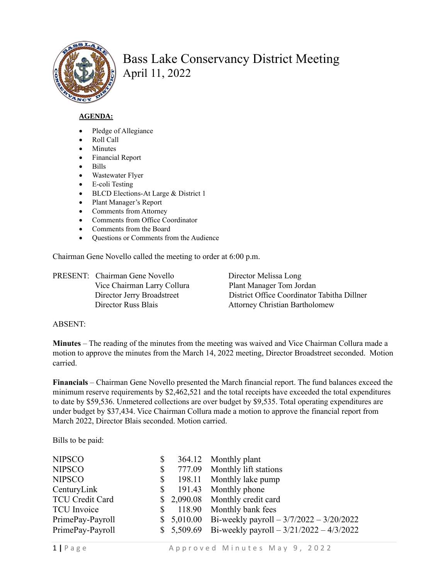

## Bass Lake Conservancy District Meeting April 11, 2022

## **AGENDA:**

- Pledge of Allegiance
- Roll Call
- **Minutes**
- Financial Report
- Bills
- Wastewater Flyer
- E-coli Testing
- BLCD Elections-At Large & District 1
- Plant Manager's Report
- Comments from Attorney
- Comments from Office Coordinator
- Comments from the Board
- Ouestions or Comments from the Audience

Chairman Gene Novello called the meeting to order at 6:00 p.m.

PRESENT: Chairman Gene Novello Director Melissa Long Vice Chairman Larry Collura Plant Manager Tom Jordan

 Director Jerry Broadstreet District Office Coordinator Tabitha Dillner Director Russ Blais Attorney Christian Bartholomew

## ABSENT:

**Minutes** – The reading of the minutes from the meeting was waived and Vice Chairman Collura made a motion to approve the minutes from the March 14, 2022 meeting, Director Broadstreet seconded. Motion carried.

**Financials** – Chairman Gene Novello presented the March financial report. The fund balances exceed the minimum reserve requirements by \$2,462,521 and the total receipts have exceeded the total expenditures to date by \$59,536. Unmetered collections are over budget by \$9,535. Total operating expenditures are under budget by \$37,434. Vice Chairman Collura made a motion to approve the financial report from March 2022, Director Blais seconded. Motion carried.

Bills to be paid:

| <b>NIPSCO</b>          | \$           | 364.12 Monthly plant                                  |
|------------------------|--------------|-------------------------------------------------------|
| <b>NIPSCO</b>          | $\mathbb{S}$ | 777.09 Monthly lift stations                          |
| <b>NIPSCO</b>          | S.           | 198.11 Monthly lake pump                              |
| CenturyLink            | <sup>S</sup> | 191.43 Monthly phone                                  |
| <b>TCU Credit Card</b> |              | \$2,090.08 Monthly credit card                        |
| <b>TCU</b> Invoice     | S.           | 118.90 Monthly bank fees                              |
| PrimePay-Payroll       |              | \$ 5,010.00 Bi-weekly payroll $-3/7/2022 - 3/20/2022$ |
| PrimePay-Payroll       |              | \$ 5,509.69 Bi-weekly payroll $-3/21/2022 - 4/3/2022$ |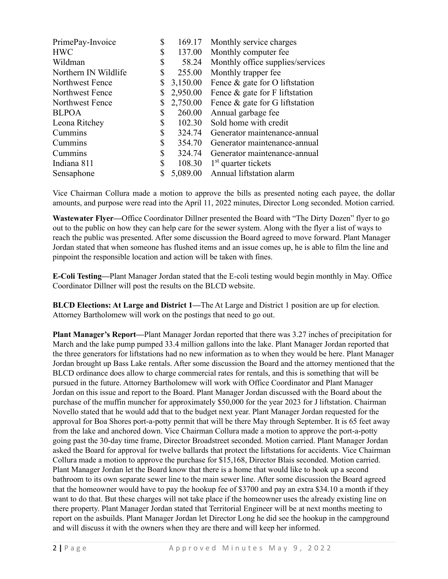| PrimePay-Invoice     | \$ | 169.17   | Monthly service charges          |
|----------------------|----|----------|----------------------------------|
| <b>HWC</b>           | \$ | 137.00   | Monthly computer fee             |
| Wildman              | \$ | 58.24    | Monthly office supplies/services |
| Northern IN Wildlife | \$ | 255.00   | Monthly trapper fee              |
| Northwest Fence      | \$ | 3,150.00 | Fence & gate for O liftstation   |
| Northwest Fence      | \$ | 2,950.00 | Fence & gate for F liftstation   |
| Northwest Fence      | \$ | 2,750.00 | Fence & gate for G liftstation   |
| <b>BLPOA</b>         | S  | 260.00   | Annual garbage fee               |
| Leona Ritchey        | \$ | 102.30   | Sold home with credit            |
| Cummins              | \$ | 324.74   | Generator maintenance-annual     |
| Cummins              | \$ | 354.70   | Generator maintenance-annual     |
| Cummins              | \$ | 324.74   | Generator maintenance-annual     |
| Indiana 811          | \$ | 108.30   | $1st$ quarter tickets            |
| Sensaphone           |    | 5,089.00 | Annual liftstation alarm         |

Vice Chairman Collura made a motion to approve the bills as presented noting each payee, the dollar amounts, and purpose were read into the April 11, 2022 minutes, Director Long seconded. Motion carried.

**Wastewater Flyer—**Office Coordinator Dillner presented the Board with "The Dirty Dozen" flyer to go out to the public on how they can help care for the sewer system. Along with the flyer a list of ways to reach the public was presented. After some discussion the Board agreed to move forward. Plant Manager Jordan stated that when someone has flushed items and an issue comes up, he is able to film the line and pinpoint the responsible location and action will be taken with fines.

**E-Coli Testing—**Plant Manager Jordan stated that the E-coli testing would begin monthly in May. Office Coordinator Dillner will post the results on the BLCD website.

**BLCD Elections: At Large and District 1—**The At Large and District 1 position are up for election. Attorney Bartholomew will work on the postings that need to go out.

**Plant Manager's Report—**Plant Manager Jordan reported that there was 3.27 inches of precipitation for March and the lake pump pumped 33.4 million gallons into the lake. Plant Manager Jordan reported that the three generators for liftstations had no new information as to when they would be here. Plant Manager Jordan brought up Bass Lake rentals. After some discussion the Board and the attorney mentioned that the BLCD ordinance does allow to charge commercial rates for rentals, and this is something that will be pursued in the future. Attorney Bartholomew will work with Office Coordinator and Plant Manager Jordan on this issue and report to the Board. Plant Manager Jordan discussed with the Board about the purchase of the muffin muncher for approximately \$50,000 for the year 2023 for J liftstation. Chairman Novello stated that he would add that to the budget next year. Plant Manager Jordan requested for the approval for Boa Shores port-a-potty permit that will be there May through September. It is 65 feet away from the lake and anchored down. Vice Chairman Collura made a motion to approve the port-a-potty going past the 30-day time frame, Director Broadstreet seconded. Motion carried. Plant Manager Jordan asked the Board for approval for twelve ballards that protect the liftstations for accidents. Vice Chairman Collura made a motion to approve the purchase for \$15,168, Director Blais seconded. Motion carried. Plant Manager Jordan let the Board know that there is a home that would like to hook up a second bathroom to its own separate sewer line to the main sewer line. After some discussion the Board agreed that the homeowner would have to pay the hookup fee of \$3700 and pay an extra \$34.10 a month if they want to do that. But these charges will not take place if the homeowner uses the already existing line on there property. Plant Manager Jordan stated that Territorial Engineer will be at next months meeting to report on the asbuilds. Plant Manager Jordan let Director Long he did see the hookup in the campground and will discuss it with the owners when they are there and will keep her informed.